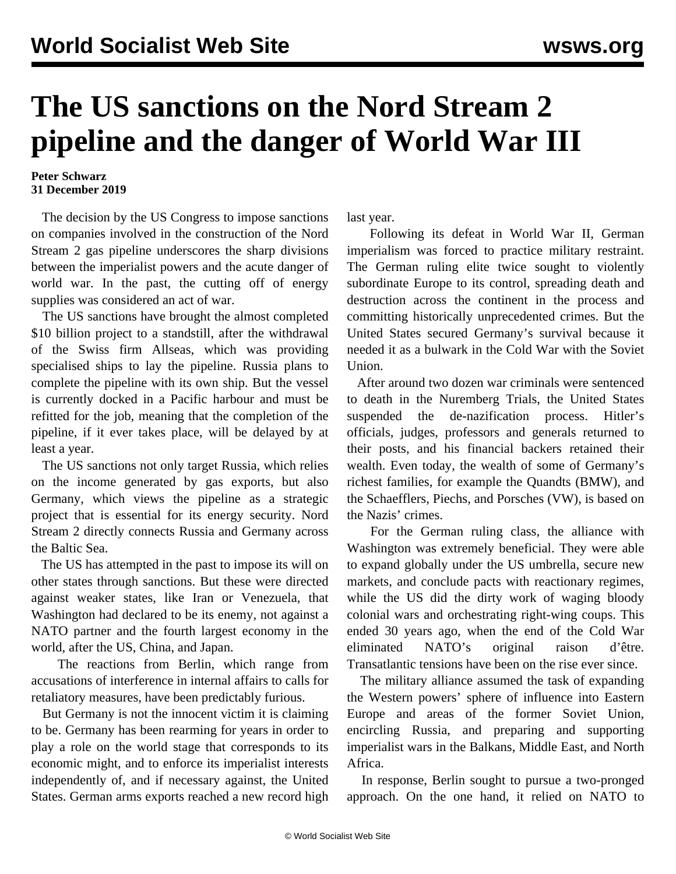## **The US sanctions on the Nord Stream 2 pipeline and the danger of World War III**

## **Peter Schwarz 31 December 2019**

 The decision by the US Congress to impose sanctions on companies involved in the construction of the Nord Stream 2 gas pipeline underscores the sharp divisions between the imperialist powers and the acute danger of world war. In the past, the cutting off of energy supplies was considered an act of war.

 The US sanctions have brought the almost completed \$10 billion project to a standstill, after the withdrawal of the Swiss firm Allseas, which was providing specialised ships to lay the pipeline. Russia plans to complete the pipeline with its own ship. But the vessel is currently docked in a Pacific harbour and must be refitted for the job, meaning that the completion of the pipeline, if it ever takes place, will be delayed by at least a year.

 The US sanctions not only target Russia, which relies on the income generated by gas exports, but also Germany, which views the pipeline as a strategic project that is essential for its energy security. Nord Stream 2 directly connects Russia and Germany across the Baltic Sea.

 The US has attempted in the past to impose its will on other states through sanctions. But these were directed against weaker states, like Iran or Venezuela, that Washington had declared to be its enemy, not against a NATO partner and the fourth largest economy in the world, after the US, China, and Japan.

 The [reactions](/en/articles/2019/12/23/nord-d23.html) from Berlin, which range from accusations of interference in internal affairs to calls for retaliatory measures, have been predictably furious.

 But Germany is not the innocent victim it is claiming to be. Germany has been rearming for years in order to play a role on the world stage that corresponds to its economic might, and to enforce its imperialist interests independently of, and if necessary against, the United States. German arms exports reached a new record high last year.

 Following its defeat in World War II, German imperialism was forced to practice military restraint. The German ruling elite twice sought to violently subordinate Europe to its control, spreading death and destruction across the continent in the process and committing historically unprecedented crimes. But the United States secured Germany's survival because it needed it as a bulwark in the Cold War with the Soviet Union.

 After around two dozen war criminals were sentenced to death in the Nuremberg Trials, the United States suspended the de-nazification process. Hitler's officials, judges, professors and generals returned to their posts, and his financial backers retained their wealth. Even today, the wealth of some of Germany's richest families, for example the Quandts (BMW), and the Schaefflers, Piechs, and Porsches (VW), is based on the Nazis' crimes.

 For the German ruling class, the alliance with Washington was extremely beneficial. They were able to expand globally under the US umbrella, secure new markets, and conclude pacts with reactionary regimes, while the US did the dirty work of waging bloody colonial wars and orchestrating right-wing coups. This ended 30 years ago, when the end of the Cold War eliminated NATO's original raison d'être. Transatlantic tensions have been on the rise ever since.

 The military alliance assumed the task of expanding the Western powers' sphere of influence into Eastern Europe and areas of the former Soviet Union, encircling Russia, and preparing and supporting imperialist wars in the Balkans, Middle East, and North Africa.

 In response, Berlin sought to pursue a two-pronged approach. On the one hand, it relied on NATO to